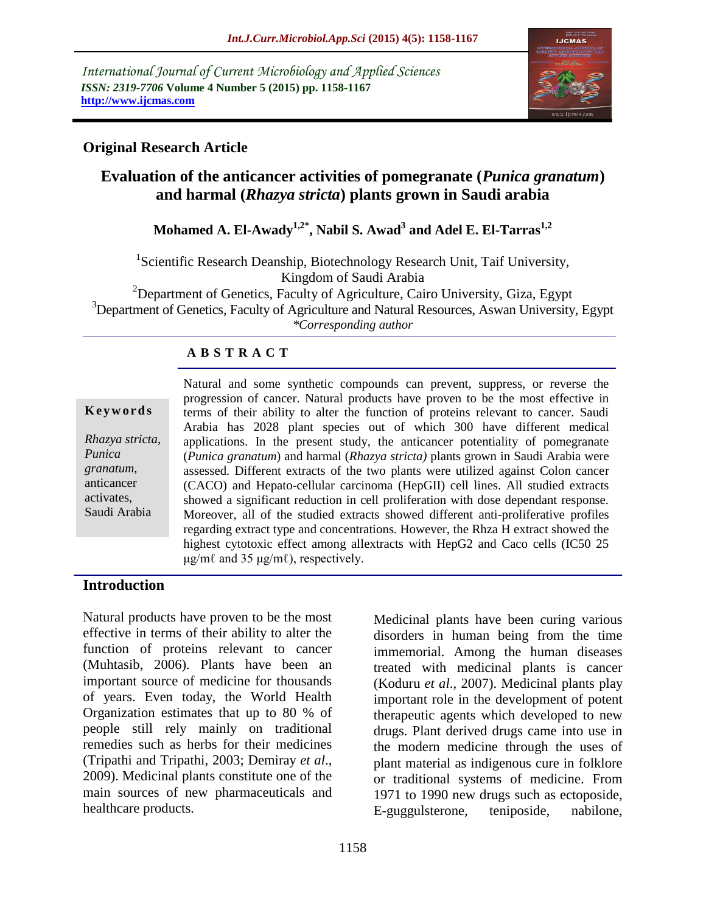*International Journal of Current Microbiology and Applied Sciences ISSN: 2319-7706* **Volume 4 Number 5 (2015) pp. 1158-1167 http://www.ijcmas.com** 



## **Original Research Article**

# **Evaluation of the anticancer activities of pomegranate (***Punica granatum***) and harmal (***Rhazya stricta***) plants grown in Saudi arabia**

# **Mohamed A. El-Awady1,2\* , Nabil S. Awad<sup>3</sup> and Adel E. El-Tarras1,2**

<sup>1</sup>Scientific Research Deanship, Biotechnology Research Unit, Taif University, Kingdom of Saudi Arabia

<sup>2</sup>Department of Genetics, Faculty of Agriculture, Cairo University, Giza, Egypt <sup>3</sup>Department of Genetics, Faculty of Agriculture and Natural Resources, Aswan University, Egypt

*\*Corresponding author*

### **A B S T R A C T**

#### **K e y w o r d s**

*Rhazya stricta*, *Punica granatum*, anticancer activates, Saudi Arabia

Natural and some synthetic compounds can prevent, suppress, or reverse the progression of cancer. Natural products have proven to be the most effective in terms of their ability to alter the function of proteins relevant to cancer. Saudi Arabia has 2028 plant species out of which 300 have different medical applications. In the present study, the anticancer potentiality of pomegranate (*Punica granatum*) and harmal (*Rhazya stricta)* plants grown in Saudi Arabia were assessed. Different extracts of the two plants were utilized against Colon cancer (CACO) and Hepato-cellular carcinoma (HepGII) cell lines. All studied extracts showed a significant reduction in cell proliferation with dose dependant response. Moreover, all of the studied extracts showed different anti-proliferative profiles regarding extract type and concentrations. However, the Rhza H extract showed the highest cytotoxic effect among allextracts with HepG2 and Caco cells (IC50 25  $\mu$ g/m $\ell$  and 35  $\mu$ g/m $\ell$ ), respectively.

#### **Introduction**

Natural products have proven to be the most effective in terms of their ability to alter the function of proteins relevant to cancer (Muhtasib, 2006). Plants have been an important source of medicine for thousands of years. Even today, the World Health Organization estimates that up to 80 % of people still rely mainly on traditional remedies such as herbs for their medicines (Tripathi and Tripathi, 2003; Demiray *et al*., 2009). Medicinal plants constitute one of the main sources of new pharmaceuticals and healthcare products.

Medicinal plants have been curing various disorders in human being from the time immemorial. Among the human diseases treated with medicinal plants is cancer (Koduru *et al*., 2007). Medicinal plants play important role in the development of potent therapeutic agents which developed to new drugs. Plant derived drugs came into use in the modern medicine through the uses of plant material as indigenous cure in folklore or traditional systems of medicine. From 1971 to 1990 new drugs such as ectoposide, E-guggulsterone, teniposide, nabilone,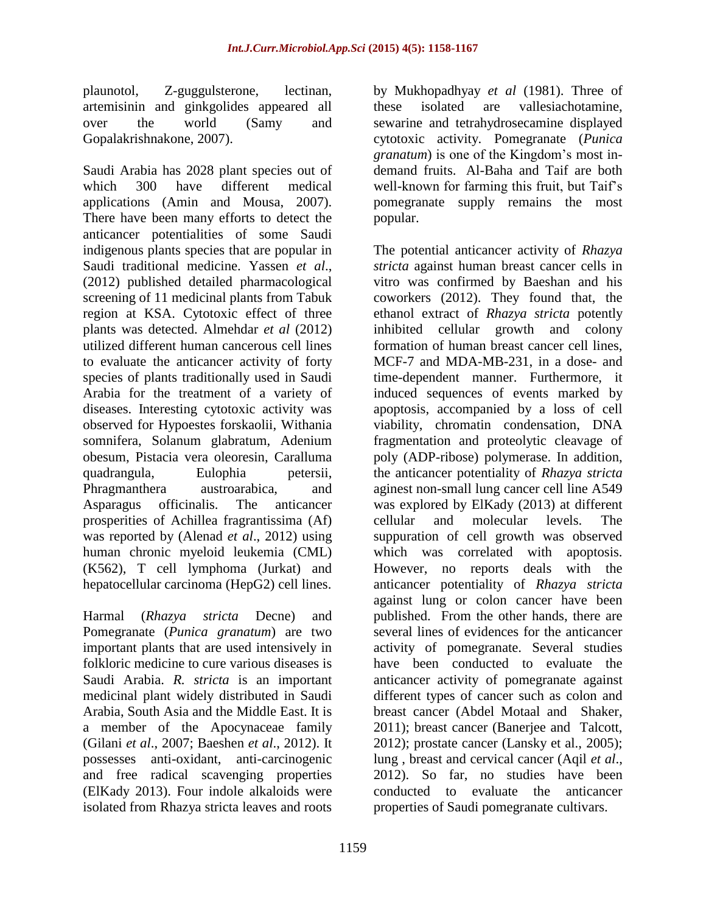plaunotol, Z-guggulsterone, lectinan, artemisinin and ginkgolides appeared all over the world (Samy and Gopalakrishnakone, 2007).

Saudi Arabia has 2028 plant species out of which 300 have different medical applications (Amin and Mousa, 2007). There have been many efforts to detect the anticancer potentialities of some Saudi indigenous plants species that are popular in Saudi traditional medicine. Yassen *et al*., (2012) published detailed pharmacological screening of 11 medicinal plants from Tabuk region at KSA. Cytotoxic effect of three plants was detected. Almehdar *et al* (2012) utilized different human cancerous cell lines to evaluate the anticancer activity of forty species of plants traditionally used in Saudi Arabia for the treatment of a variety of diseases. Interesting cytotoxic activity was observed for Hypoestes forskaolii, Withania somnifera, Solanum glabratum, Adenium obesum, Pistacia vera oleoresin, Caralluma quadrangula, Eulophia petersii, Phragmanthera austroarabica, and Asparagus officinalis. The anticancer prosperities of Achillea fragrantissima (Af) was reported by (Alenad *et al*., 2012) using human chronic myeloid leukemia (CML) (K562), T cell lymphoma (Jurkat) and hepatocellular carcinoma (HepG2) cell lines.

Harmal (*Rhazya stricta* Decne) and Pomegranate (*Punica granatum*) are two important plants that are used intensively in folkloric medicine to cure various diseases is Saudi Arabia. *R. stricta* is an important medicinal plant widely distributed in Saudi Arabia, South Asia and the Middle East. It is a member of the Apocynaceae family (Gilani *et al*., 2007; Baeshen *et al*., 2012). It possesses anti-oxidant, anti-carcinogenic and free radical scavenging properties (ElKady 2013). Four indole alkaloids were isolated from Rhazya stricta leaves and roots

by Mukhopadhyay *et al* (1981). Three of these isolated are vallesiachotamine, sewarine and tetrahydrosecamine displayed cytotoxic activity. Pomegranate (*Punica granatum*) is one of the Kingdom's most indemand fruits. Al-Baha and Taif are both well-known for farming this fruit, but Taif's pomegranate supply remains the most popular.

The potential anticancer activity of *Rhazya stricta* against human breast cancer cells in vitro was confirmed by Baeshan and his coworkers (2012). They found that, the ethanol extract of *Rhazya stricta* potently inhibited cellular growth and colony formation of human breast cancer cell lines, MCF-7 and MDA-MB-231, in a dose- and time-dependent manner. Furthermore, it induced sequences of events marked by apoptosis, accompanied by a loss of cell viability, chromatin condensation, DNA fragmentation and proteolytic cleavage of poly (ADP-ribose) polymerase. In addition, the anticancer potentiality of *Rhazya stricta* aginest non-small lung cancer cell line A549 was explored by ElKady (2013) at different cellular and molecular levels. The suppuration of cell growth was observed which was correlated with apoptosis. However, no reports deals with the anticancer potentiality of *Rhazya stricta* against lung or colon cancer have been published. From the other hands, there are several lines of evidences for the anticancer activity of pomegranate. Several studies have been conducted to evaluate the anticancer activity of pomegranate against different types of cancer such as colon and breast cancer (Abdel Motaal and Shaker, 2011); breast cancer (Banerjee and Talcott, 2012); prostate cancer (Lansky et al., 2005); lung , breast and cervical cancer (Aqil *et al*., 2012). So far, no studies have been conducted to evaluate the anticancer properties of Saudi pomegranate cultivars.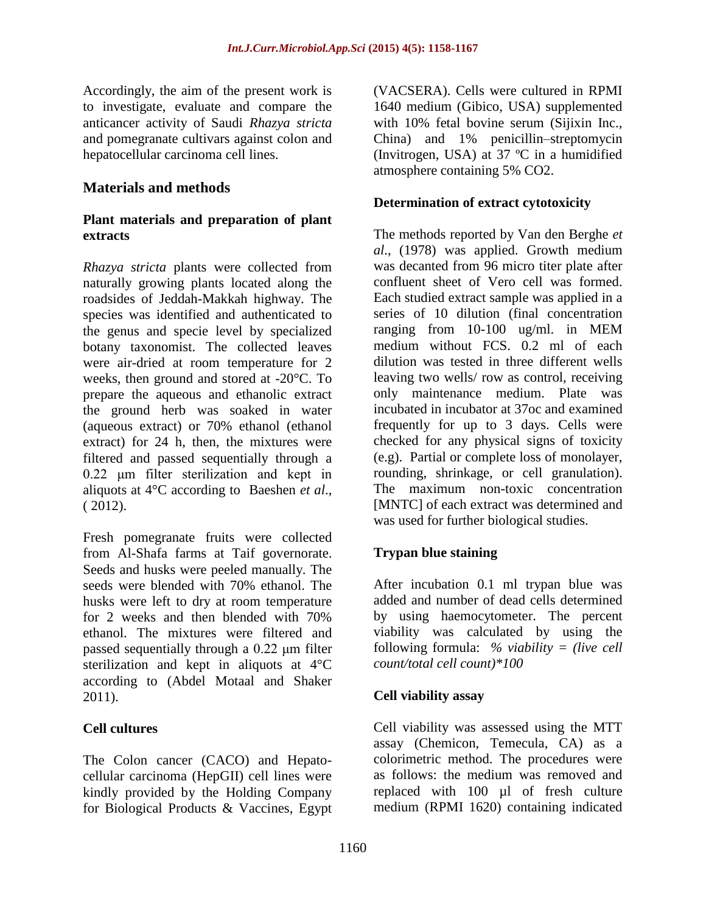Accordingly, the aim of the present work is to investigate, evaluate and compare the anticancer activity of Saudi *Rhazya stricta* and pomegranate cultivars against colon and hepatocellular carcinoma cell lines.

### **Materials and methods**

### **Plant materials and preparation of plant extracts**

*Rhazya stricta* plants were collected from naturally growing plants located along the roadsides of Jeddah-Makkah highway. The species was identified and authenticated to the genus and specie level by specialized botany taxonomist. The collected leaves were air-dried at room temperature for 2 weeks, then ground and stored at -20°C. To prepare the aqueous and ethanolic extract the ground herb was soaked in water (aqueous extract) or 70% ethanol (ethanol extract) for 24 h, then, the mixtures were filtered and passed sequentially through a 0.22 μm filter sterilization and kept in aliquots at 4°C according to Baeshen *et al*., ( 2012).

Fresh pomegranate fruits were collected from Al-Shafa farms at Taif governorate. Seeds and husks were peeled manually. The seeds were blended with 70% ethanol. The husks were left to dry at room temperature for 2 weeks and then blended with 70% ethanol. The mixtures were filtered and passed sequentially through a 0.22 μm filter sterilization and kept in aliquots at 4°C according to (Abdel Motaal and Shaker 2011).

### **Cell cultures**

The Colon cancer (CACO) and Hepatocellular carcinoma (HepGII) cell lines were kindly provided by the Holding Company for Biological Products & Vaccines, Egypt (VACSERA). Cells were cultured in RPMI 1640 medium (Gibico, USA) supplemented with 10% fetal bovine serum (Sijixin Inc., China) and 1% penicillin–streptomycin (Invitrogen, USA) at 37 ºC in a humidified atmosphere containing 5% CO2.

#### **Determination of extract cytotoxicity**

The methods reported by Van den Berghe *et al*., (1978) was applied. Growth medium was decanted from 96 micro titer plate after confluent sheet of Vero cell was formed. Each studied extract sample was applied in a series of 10 dilution (final concentration ranging from 10-100 ug/ml. in MEM medium without FCS. 0.2 ml of each dilution was tested in three different wells leaving two wells/ row as control, receiving only maintenance medium. Plate was incubated in incubator at 37oc and examined frequently for up to 3 days. Cells were checked for any physical signs of toxicity (e.g). Partial or complete loss of monolayer, rounding, shrinkage, or cell granulation). The maximum non-toxic concentration [MNTC] of each extract was determined and was used for further biological studies.

## **Trypan blue staining**

After incubation 0.1 ml trypan blue was added and number of dead cells determined by using haemocytometer. The percent viability was calculated by using the following formula: *% viability = (live cell count/total cell count)\*100*

### **Cell viability assay**

Cell viability was assessed using the MTT assay (Chemicon, Temecula, CA) as a colorimetric method. The procedures were as follows: the medium was removed and replaced with 100 µl of fresh culture medium (RPMI 1620) containing indicated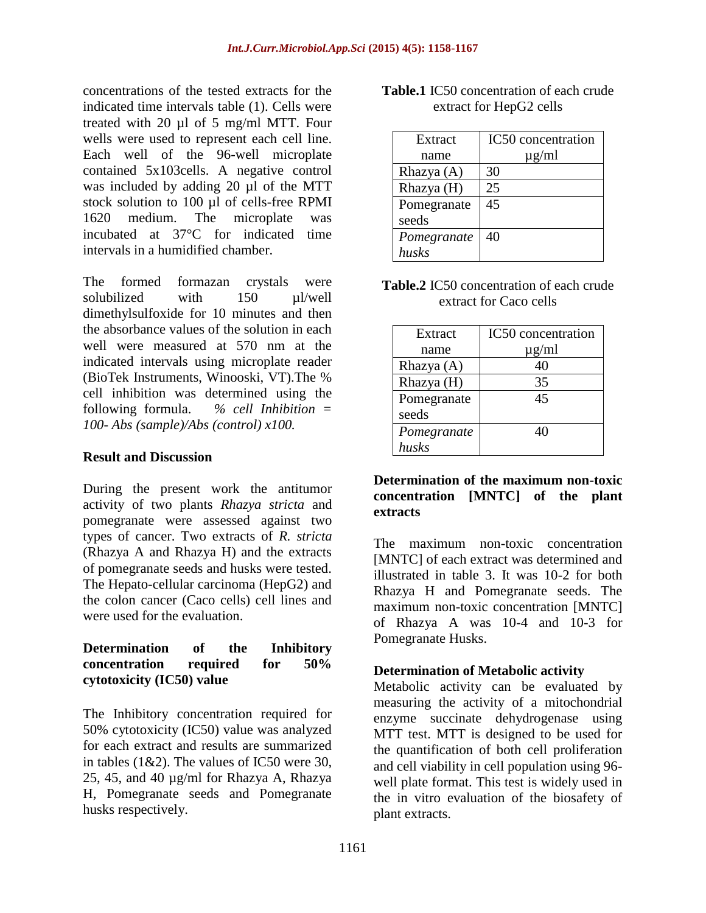concentrations of the tested extracts for the indicated time intervals table (1). Cells were treated with 20 µl of 5 mg/ml MTT. Four wells were used to represent each cell line. Each well of the 96-well microplate contained 5x103cells. A negative control was included by adding 20 µl of the MTT stock solution to 100 µl of cells-free RPMI 1620 medium. The microplate was incubated at 37°C for indicated time intervals in a humidified chamber.

The formed formazan crystals were solubilized with 150 ul/well dimethylsulfoxide for 10 minutes and then the absorbance values of the solution in each well were measured at 570 nm at the indicated intervals using microplate reader (BioTek Instruments, Winooski, VT).The % cell inhibition was determined using the following formula. *% cell Inhibition = 100- Abs (sample)/Abs (control) x100.*

#### **Result and Discussion**

During the present work the antitumor activity of two plants *Rhazya stricta* and pomegranate were assessed against two types of cancer. Two extracts of *R. stricta* (Rhazya A and Rhazya H) and the extracts of pomegranate seeds and husks were tested. The Hepato-cellular carcinoma (HepG2) and the colon cancer (Caco cells) cell lines and were used for the evaluation.

#### **Determination of the Inhibitory concentration required for 50% cytotoxicity (IC50) value**

The Inhibitory concentration required for 50% cytotoxicity (IC50) value was analyzed for each extract and results are summarized in tables (1&2). The values of IC50 were 30, 25, 45, and 40 µg/ml for Rhazya A, Rhazya H, Pomegranate seeds and Pomegranate husks respectively.

| Extract      | IC50 concentration |
|--------------|--------------------|
| name         | $\mu$ g/ml         |
| Rhazya $(A)$ | 30                 |
| Rhazya (H)   | 25                 |
| Pomegranate  | 45                 |
| seeds        |                    |
| Pomegranate  | 40                 |
| husks        |                    |

### **Table.1** IC50 concentration of each crude extract for HepG2 cells

**Table.2** IC50 concentration of each crude extract for Caco cells

| Extract      | IC50 concentration |
|--------------|--------------------|
| name         | $\mu$ g/ml         |
| Rhazya $(A)$ |                    |
| Rhazya (H)   | 35                 |
| Pomegranate  | 45                 |
| seeds        |                    |
| Pomegranate  | 40                 |
| husks        |                    |

#### **Determination of the maximum non-toxic concentration [MNTC] of the plant extracts**

The maximum non-toxic concentration [MNTC] of each extract was determined and illustrated in table 3. It was 10-2 for both Rhazya H and Pomegranate seeds. The maximum non-toxic concentration [MNTC] of Rhazya A was 10-4 and 10-3 for Pomegranate Husks.

### **Determination of Metabolic activity**

Metabolic activity can be evaluated by measuring the activity of a mitochondrial enzyme succinate dehydrogenase using MTT test. MTT is designed to be used for the quantification of both cell proliferation and cell viability in cell population using 96 well plate format. This test is widely used in the in vitro evaluation of the biosafety of plant extracts.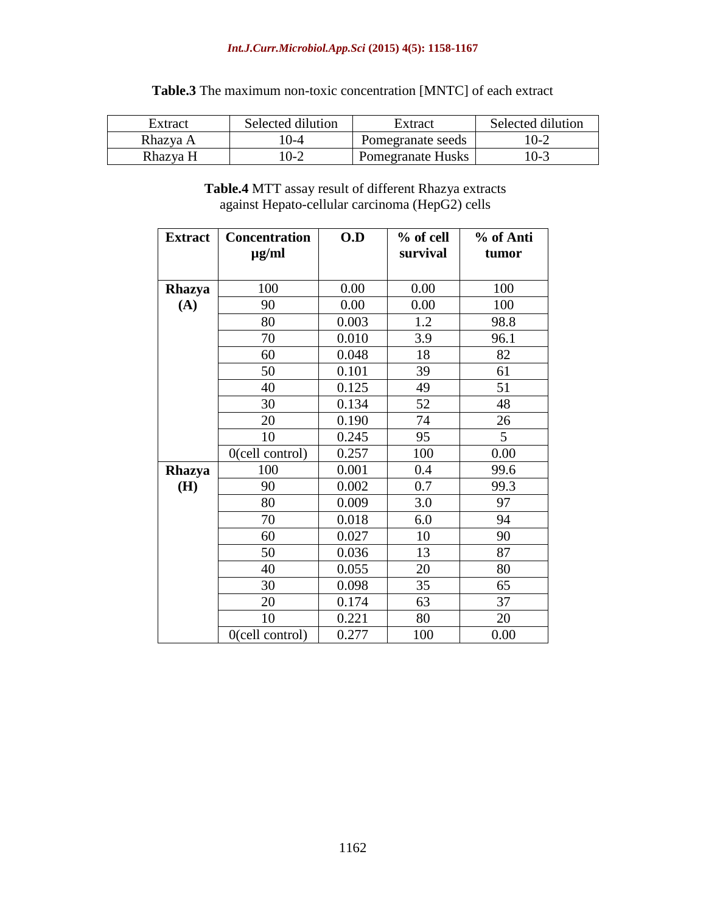#### *Int.J.Curr.Microbiol.App.Sci* **(2015) 4(5): 1158-1167**

| Extract  | Selected dilution | Extract                  | Selected dilution |
|----------|-------------------|--------------------------|-------------------|
| Rhazya A | ()-4              | Pomegranate seeds        | $(0-2)$           |
| Rhazya H | $0 - 2$           | <b>Pomegranate Husks</b> | 10-3              |

## **Table.3** The maximum non-toxic concentration [MNTC] of each extract

**Table.4** MTT assay result of different Rhazya extracts against Hepato-cellular carcinoma (HepG2) cells

| <b>Extract</b> | <b>Concentration</b><br>$\mu$ g/ml | 0.D   | % of cell<br>survival | % of Anti<br>tumor |
|----------------|------------------------------------|-------|-----------------------|--------------------|
|                |                                    |       |                       |                    |
| Rhazya         | 100                                | 0.00  | 0.00                  | 100                |
| (A)            | 90                                 | 0.00  | 0.00                  | 100                |
|                | 80                                 | 0.003 | 1.2                   | 98.8               |
|                | 70                                 | 0.010 | 3.9                   | 96.1               |
|                | 60                                 | 0.048 | 18                    | 82                 |
|                | 50                                 | 0.101 | 39                    | 61                 |
|                | 40                                 | 0.125 | 49                    | 51                 |
|                | 30                                 | 0.134 | 52                    | 48                 |
|                | 20                                 | 0.190 | 74                    | 26                 |
|                | 10                                 | 0.245 | 95                    | 5                  |
|                | $0$ (cell control)                 | 0.257 | 100                   | 0.00               |
| <b>Rhazya</b>  | 100                                | 0.001 | 0.4                   | 99.6               |
| (H)            | 90                                 | 0.002 | 0.7                   | 99.3               |
|                | 80                                 | 0.009 | 3.0                   | 97                 |
|                | 70                                 | 0.018 | 6.0                   | 94                 |
|                | 60                                 | 0.027 | 10                    | 90                 |
|                | 50                                 | 0.036 | 13                    | 87                 |
|                | 40                                 | 0.055 | 20                    | 80                 |
|                | 30                                 | 0.098 | 35                    | 65                 |
|                | 20                                 | 0.174 | 63                    | 37                 |
|                | 10                                 | 0.221 | 80                    | 20                 |
|                | $0$ (cell control)                 | 0.277 | 100                   | 0.00               |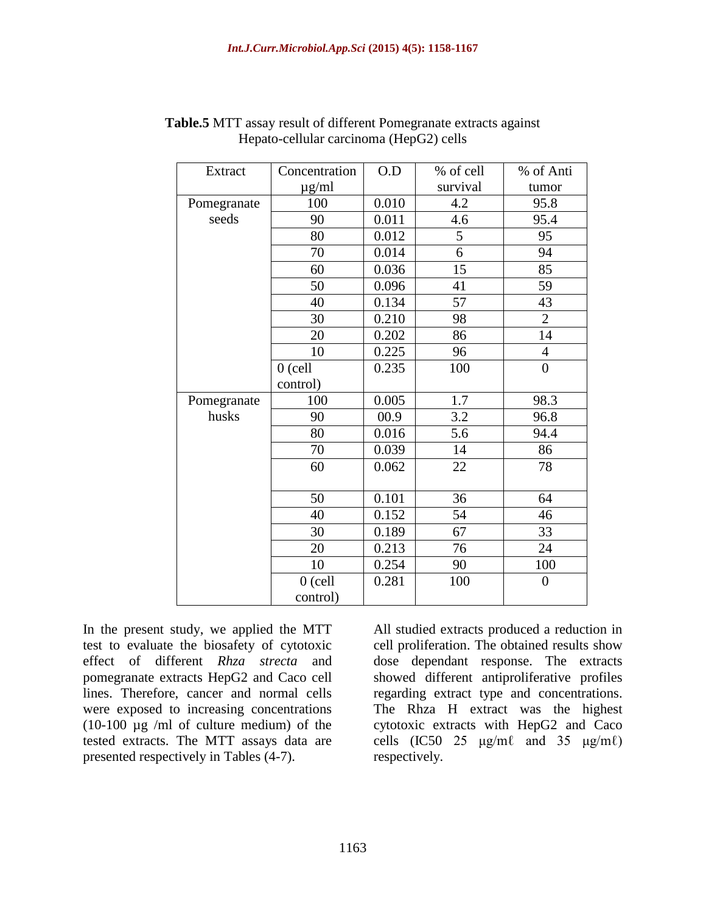| Extract     | Concentration | O.D   | % of cell | % of Anti      |
|-------------|---------------|-------|-----------|----------------|
|             | $\mu$ g/ml    |       | survival  | tumor          |
| Pomegranate | 100           | 0.010 | 4.2       | 95.8           |
| seeds       | 90            | 0.011 | 4.6       | 95.4           |
|             | 80            | 0.012 | 5         | 95             |
|             | 70            | 0.014 | 6         | 94             |
|             | 60            | 0.036 | 15        | 85             |
|             | 50            | 0.096 | 41        | 59             |
|             | 40            | 0.134 | 57        | 43             |
|             | 30            | 0.210 | 98        | $\overline{2}$ |
|             | 20            | 0.202 | 86        | 14             |
|             | 10            | 0.225 | 96        | $\overline{4}$ |
|             | $0$ (cell     | 0.235 | 100       | $\overline{0}$ |
|             | control)      |       |           |                |
| Pomegranate | 100           | 0.005 | 1.7       | 98.3           |
| husks       | 90            | 00.9  | 3.2       | 96.8           |
|             | 80            | 0.016 | 5.6       | 94.4           |
|             | 70            | 0.039 | 14        | 86             |
|             | 60            | 0.062 | 22        | 78             |
|             |               |       |           |                |
|             | 50            | 0.101 | 36        | 64             |
|             | 40            | 0.152 | 54        | 46             |
|             | 30            | 0.189 | 67        | 33             |
|             | 20            | 0.213 | 76        | 24             |
|             | 10            | 0.254 | 90        | 100            |
|             | $0$ (cell     | 0.281 | 100       | $\overline{0}$ |
|             | control)      |       |           |                |

#### **Table.5** MTT assay result of different Pomegranate extracts against Hepato-cellular carcinoma (HepG2) cells

In the present study, we applied the MTT test to evaluate the biosafety of cytotoxic effect of different *Rhza strecta* and pomegranate extracts HepG2 and Caco cell lines. Therefore, cancer and normal cells were exposed to increasing concentrations (10-100 µg /ml of culture medium) of the tested extracts. The MTT assays data are presented respectively in Tables (4-7).

All studied extracts produced a reduction in cell proliferation. The obtained results show dose dependant response. The extracts showed different antiproliferative profiles regarding extract type and concentrations. The Rhza H extract was the highest cytotoxic extracts with HepG2 and Caco cells  $(IC50 25 \mu g/m\ell \text{ and } 35 \mu g/m\ell)$ respectively.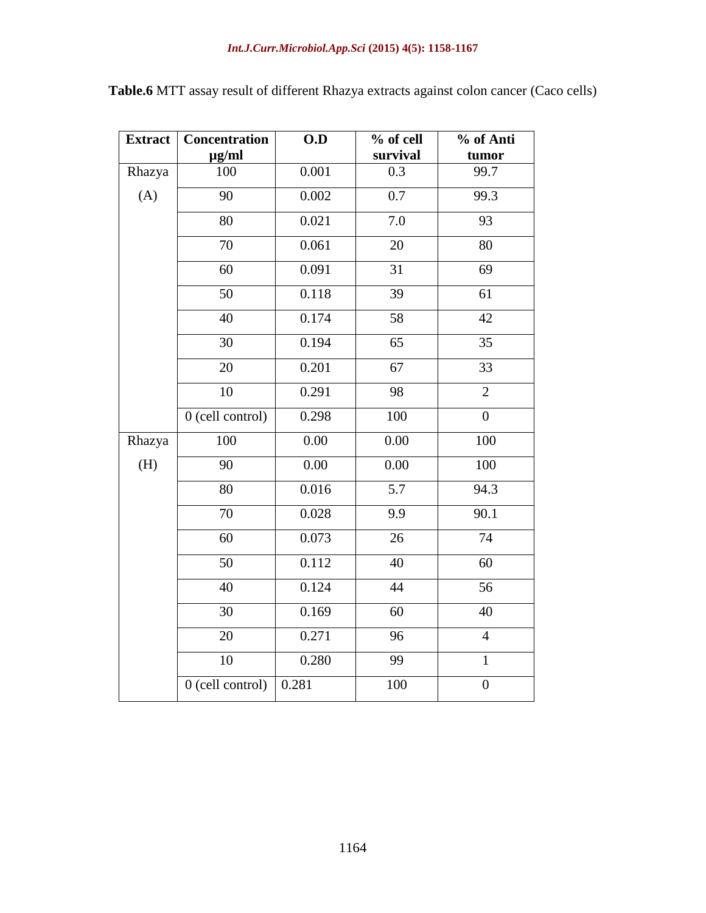### *Int.J.Curr.Microbiol.App.Sci* **(2015) 4(5): 1158-1167**

| <b>Extract</b> | Concentration<br>$\mu$ g/ml | O.D   | % of cell<br>survival | % of Anti<br>tumor |
|----------------|-----------------------------|-------|-----------------------|--------------------|
| Rhazya         | 100                         | 0.001 | 0.3                   | 99.7               |
| (A)            | 90                          | 0.002 | $\overline{0.7}$      | 99.3               |
|                | 80                          | 0.021 | 7.0                   | 93                 |
|                | 70                          | 0.061 | 20                    | 80                 |
|                | 60                          | 0.091 | 31                    | 69                 |
|                | 50                          | 0.118 | $\overline{39}$       | $\overline{61}$    |
|                | 40                          | 0.174 | 58                    | 42                 |
|                | 30                          | 0.194 | 65                    | 35                 |
|                | 20                          | 0.201 | 67                    | 33                 |
|                | 10                          | 0.291 | 98                    | $\overline{2}$     |
|                | 0 (cell control)            | 0.298 | 100                   | $\overline{0}$     |
| Rhazya         | 100                         | 0.00  | 0.00                  | 100                |
| (H)            | 90                          | 0.00  | 0.00                  | 100                |
|                | 80                          | 0.016 | 5.7                   | 94.3               |
|                | 70                          | 0.028 | 9.9                   | 90.1               |
|                | 60                          | 0.073 | 26                    | 74                 |
|                | 50                          | 0.112 | 40                    | 60                 |
|                | 40                          | 0.124 | 44                    | 56                 |
|                | 30                          | 0.169 | 60                    | 40                 |
|                | 20                          | 0.271 | 96                    | $\overline{4}$     |
|                | $\overline{10}$             | 0.280 | $\overline{99}$       | $\overline{1}$     |
|                | 0 (cell control)            | 0.281 | 100                   | $\overline{0}$     |

**Table.6** MTT assay result of different Rhazya extracts against colon cancer (Caco cells)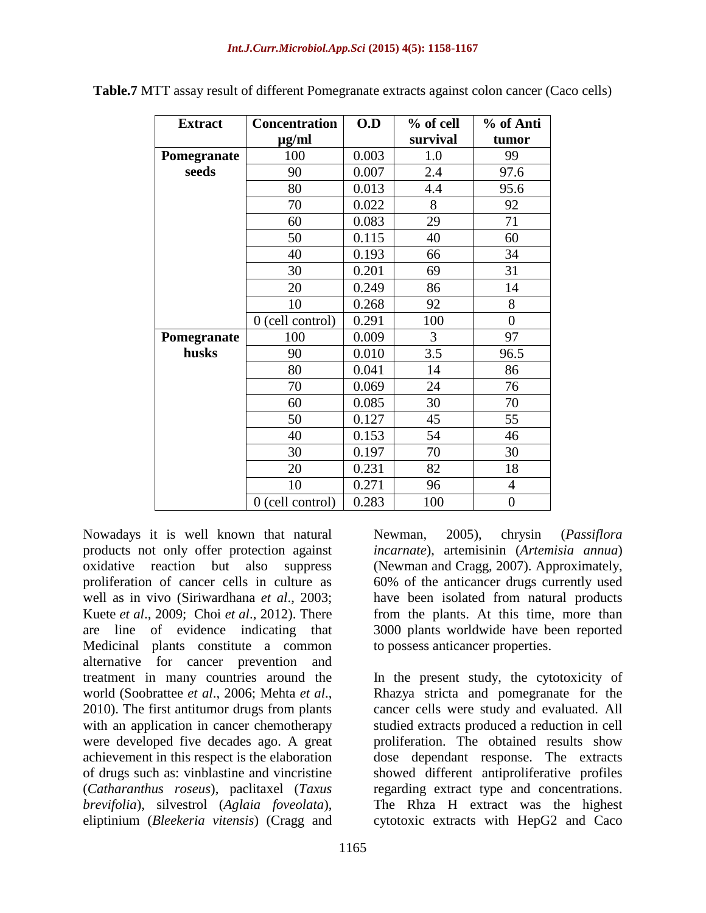| <b>Extract</b> | Concentration    | O.D   | % of cell | % of Anti        |
|----------------|------------------|-------|-----------|------------------|
|                | µg/ml            |       | survival  | tumor            |
| Pomegranate    | 100              |       | 1.0       | 99               |
| seeds          | 90               |       | 2.4       | 97.6             |
|                | 80               | 0.013 | 4.4       | 95.6             |
|                | 70               | 0.022 | 8         | 92               |
|                | 60               | 0.083 | 29        | 71               |
|                | 50               | 0.115 | 40        | 60               |
|                | 40               | 0.193 | 66        | 34               |
|                | 30               | 0.201 | 69        | 31               |
|                | 20               | 0.249 | 86        | 14               |
|                | 10               | 0.268 | 92        | 8                |
|                | 0 (cell control) | 0.291 | 100       | $\boldsymbol{0}$ |
| Pomegranate    | 100              | 0.009 | 3         | 97               |
| husks          | 90               | 0.010 | 3.5       | 96.5             |
|                | 80               | 0.041 | 14        | 86               |
|                | 70               | 0.069 | 24        | 76               |
|                | 60               | 0.085 | 30        | 70               |
|                | 50               | 0.127 | 45        | 55               |
|                | 40               | 0.153 | 54        | 46               |
|                | 30               | 0.197 | 70        | 30               |
|                | 20               | 0.231 | 82        | 18               |
|                | 10               | 0.271 | 96        | $\overline{4}$   |
|                | 0 (cell control) | 0.283 | 100       | $\overline{0}$   |

**Table.7** MTT assay result of different Pomegranate extracts against colon cancer (Caco cells)

Nowadays it is well known that natural products not only offer protection against oxidative reaction but also suppress proliferation of cancer cells in culture as well as in vivo (Siriwardhana *et al*., 2003; Kuete *et al*., 2009; Choi *et al*., 2012). There are line of evidence indicating that Medicinal plants constitute a common alternative for cancer prevention and treatment in many countries around the world (Soobrattee *et al*., 2006; Mehta *et al*., 2010). The first antitumor drugs from plants with an application in cancer chemotherapy were developed five decades ago. A great achievement in this respect is the elaboration of drugs such as: vinblastine and vincristine (*Catharanthus roseus*), paclitaxel (*Taxus brevifolia*), silvestrol (*Aglaia foveolata*), eliptinium (*Bleekeria vitensis*) (Cragg and

Newman, 2005), chrysin (*Passiflora incarnate*), artemisinin (*Artemisia annua*) (Newman and Cragg, 2007). Approximately, 60% of the anticancer drugs currently used have been isolated from natural products from the plants. At this time, more than 3000 plants worldwide have been reported to possess anticancer properties.

In the present study, the cytotoxicity of Rhazya stricta and pomegranate for the cancer cells were study and evaluated. All studied extracts produced a reduction in cell proliferation. The obtained results show dose dependant response. The extracts showed different antiproliferative profiles regarding extract type and concentrations. The Rhza H extract was the highest cytotoxic extracts with HepG2 and Caco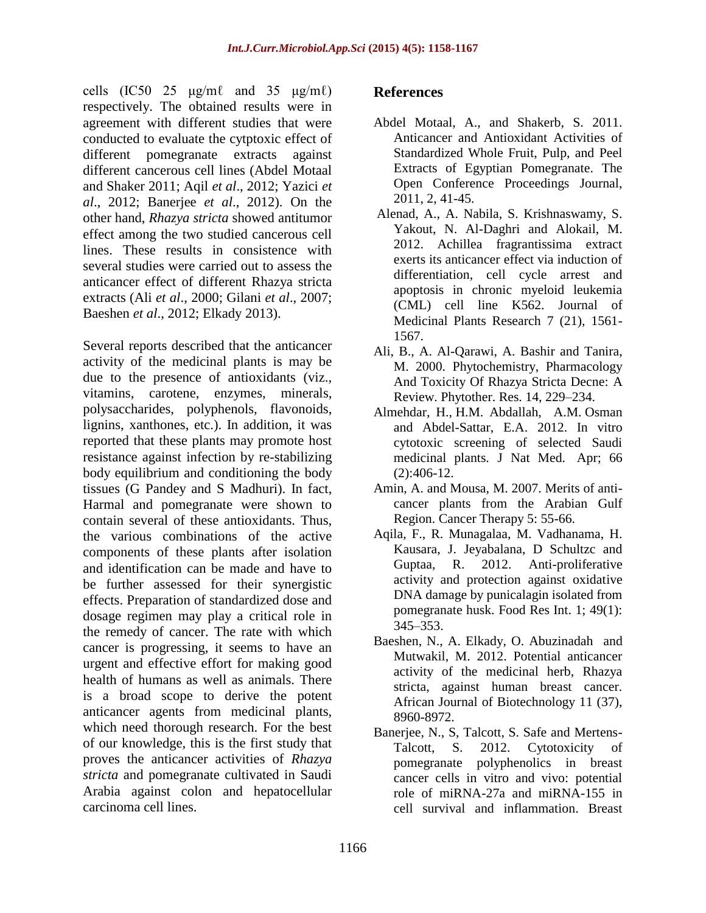cells  $(IC50 25 \mu g/m\ell \text{ and } 35 \mu g/m\ell)$ respectively. The obtained results were in agreement with different studies that were conducted to evaluate the cytptoxic effect of different pomegranate extracts against different cancerous cell lines (Abdel Motaal and Shaker 2011; Aqil *et al*., 2012; Yazici *et al*., 2012; Banerjee *et al*., 2012). On the other hand, *Rhazya stricta* showed antitumor effect among the two studied cancerous cell lines. These results in consistence with several studies were carried out to assess the anticancer effect of different Rhazya stricta extracts (Ali *et al*., 2000; Gilani *et al*., 2007; Baeshen *et al*., 2012; Elkady 2013).

Several reports described that the anticancer activity of the medicinal plants is may be due to the presence of antioxidants (viz., vitamins, carotene, enzymes, minerals, polysaccharides, polyphenols, flavonoids, lignins, xanthones, etc.). In addition, it was reported that these plants may promote host resistance against infection by re-stabilizing body equilibrium and conditioning the body tissues [\(G Pandey](http://www.phcogrev.com/searchresult.asp?search=&author=Govind+Pandey&journal=Y&but_search=Search&entries=10&pg=1&s=0) and [S Madhuri\)](http://www.phcogrev.com/searchresult.asp?search=&author=S+Madhuri&journal=Y&but_search=Search&entries=10&pg=1&s=0). In fact, Harmal and pomegranate were shown to contain several of these antioxidants. Thus, the various combinations of the active components of these plants after isolation and identification can be made and have to be further assessed for their synergistic effects. Preparation of standardized dose and dosage regimen may play a critical role in the remedy of cancer. The rate with which cancer is progressing, it seems to have an urgent and effective effort for making good health of humans as well as animals. There is a broad scope to derive the potent anticancer agents from medicinal plants, which need thorough research. For the best of our knowledge, this is the first study that proves the anticancer activities of *Rhazya stricta* and pomegranate cultivated in Saudi Arabia against colon and hepatocellular carcinoma cell lines.

### **References**

- Abdel Motaal, A., and Shakerb, S. 2011. Anticancer and Antioxidant Activities of Standardized Whole Fruit, Pulp, and Peel Extracts of Egyptian Pomegranate. The Open Conference Proceedings Journal, 2011, 2, 41-45.
- Alenad, A., A. Nabila, S. Krishnaswamy, S. Yakout, N. Al-Daghri and Alokail, M. 2012. Achillea fragrantissima extract exerts its anticancer effect via induction of differentiation, cell cycle arrest and apoptosis in chronic myeloid leukemia (CML) cell line K562. Journal of Medicinal Plants Research 7 (21), 1561- 1567.
- Ali, B., A. Al-Qarawi, A. Bashir and Tanira, M. 2000. Phytochemistry, Pharmacology And Toxicity Of Rhazya Stricta Decne: A Review. Phytother. Res. 14, 229–234.
- [Almehdar, H.](http://www.ncbi.nlm.nih.gov/pubmed?term=Almehdar%20H%5BAuthor%5D&cauthor=true&cauthor_uid=21953271), H.M. [Abdallah,](http://www.ncbi.nlm.nih.gov/pubmed?term=Abdallah%20HM%5BAuthor%5D&cauthor=true&cauthor_uid=21953271) A.M. [Osman](http://www.ncbi.nlm.nih.gov/pubmed?term=Osman%20AM%5BAuthor%5D&cauthor=true&cauthor_uid=21953271)  and [Abdel-Sattar, E.A.](http://www.ncbi.nlm.nih.gov/pubmed?term=Abdel-Sattar%20EA%5BAuthor%5D&cauthor=true&cauthor_uid=21953271) 2012. In vitro cytotoxic screening of selected Saudi medicinal plants. [J Nat Med.](http://www.ncbi.nlm.nih.gov/pubmed/21953271) Apr; 66  $(2):406-12.$
- Amin, A. and Mousa, M. 2007. Merits of anticancer plants from the Arabian Gulf Region. Cancer Therapy 5: 55-66.
- Aqila, F., R. Munagalaa, M. Vadhanama, H. Kausara, J. Jeyabalana, D Schultzc and Guptaa, R. 2012. Anti-proliferative activity and protection against oxidative DNA damage by punicalagin isolated from pomegranate husk. Food Res Int. 1; 49(1): 345–353.
- Baeshen, N., A. Elkady, O. Abuzinadah and Mutwakil, M. 2012. Potential anticancer activity of the medicinal herb, Rhazya stricta, against human breast cancer. African Journal of Biotechnology 11 (37), 8960-8972.
- Banerjee, N., S, Talcott, S. Safe and Mertens-Talcott, S. 2012. Cytotoxicity of pomegranate polyphenolics in breast cancer cells in vitro and vivo: potential role of miRNA-27a and miRNA-155 in cell survival and inflammation. Breast